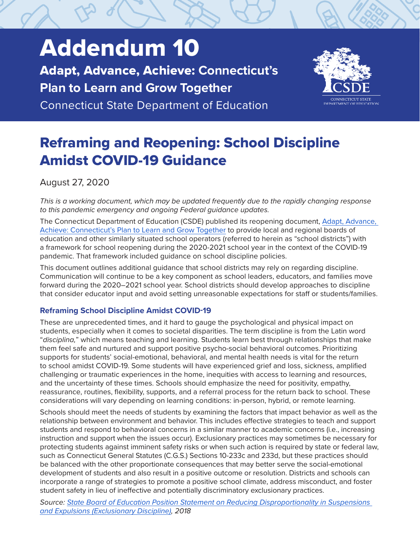# Addendum 10

Adapt, Advance, Achieve: **Connecticut's Plan to Learn and Grow Together**

Connecticut State Department of Education



# Reframing and Reopening: School Discipline Amidst COVID-19 Guidance

August 27, 2020

*This is a working document, which may be updated frequently due to the rapidly changing response to this pandemic emergency and ongoing Federal guidance updates.*

The Connecticut Department of Education (CSDE) published its reopening document, [Adapt, Advance,](https://portal.ct.gov/-/media/SDE/COVID-19/CTReopeningSchools.pdf)  [Achieve: Connecticut's Plan to Learn and Grow Together](https://portal.ct.gov/-/media/SDE/COVID-19/CTReopeningSchools.pdf) to provide local and regional boards of education and other similarly situated school operators (referred to herein as "school districts") with a framework for school reopening during the 2020-2021 school year in the context of the COVID-19 pandemic. That framework included guidance on school discipline policies.

This document outlines additional guidance that school districts may rely on regarding discipline. Communication will continue to be a key component as school leaders, educators, and families move forward during the 2020–2021 school year. School districts should develop approaches to discipline that consider educator input and avoid setting unreasonable expectations for staff or students/families.

# **Reframing School Discipline Amidst COVID-19**

These are unprecedented times, and it hard to gauge the psychological and physical impact on students, especially when it comes to societal disparities. The term discipline is from the Latin word "*disciplina,*" which means teaching and learning. Students learn best through relationships that make them feel safe and nurtured and support positive psycho-social behavioral outcomes. Prioritizing supports for students' social-emotional, behavioral, and mental health needs is vital for the return to school amidst COVID-19. Some students will have experienced grief and loss, sickness, amplified challenging or traumatic experiences in the home, inequities with access to learning and resources, and the uncertainty of these times. Schools should emphasize the need for positivity, empathy, reassurance, routines, flexibility, supports, and a referral process for the return back to school. These considerations will vary depending on learning conditions: in-person, hybrid, or remote learning.

Schools should meet the needs of students by examining the factors that impact behavior as well as the relationship between environment and behavior. This includes effective strategies to teach and support students and respond to behavioral concerns in a similar manner to academic concerns (i.e., increasing instruction and support when the issues occur). Exclusionary practices may sometimes be necessary for protecting students against imminent safety risks or when such action is required by state or federal law, such as Connecticut General Statutes (C.G.S.) Sections 10-233c and 233d, but these practices should be balanced with the other proportionate consequences that may better serve the social-emotional development of students and also result in a positive outcome or resolution. Districts and schools can incorporate a range of strategies to promote a positive school climate, address misconduct, and foster student safety in lieu of ineffective and potentially discriminatory exclusionary practices.

*Source: [State Board of Education Position Statement on Reducing Disproportionality in Suspensions](https://portal.ct.gov/-/media/SDE/Board/Position_Statement_Reducing_Disproportionality_in_Suspensions_and_Expulsions.pdf)  [and Expulsions \(Exclusionary Discipline\),](https://portal.ct.gov/-/media/SDE/Board/Position_Statement_Reducing_Disproportionality_in_Suspensions_and_Expulsions.pdf) 2018*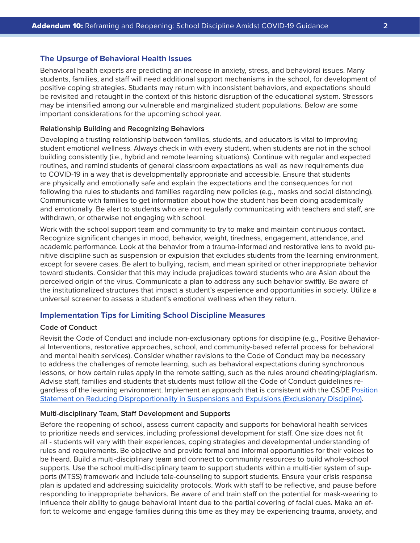#### **The Upsurge of Behavioral Health Issues**

Behavioral health experts are predicting an increase in anxiety, stress, and behavioral issues. Many students, families, and staff will need additional support mechanisms in the school, for development of positive coping strategies. Students may return with inconsistent behaviors, and expectations should be revisited and retaught in the context of this historic disruption of the educational system. Stressors may be intensified among our vulnerable and marginalized student populations. Below are some important considerations for the upcoming school year.

#### **Relationship Building and Recognizing Behaviors**

Developing a trusting relationship between families, students, and educators is vital to improving student emotional wellness. Always check in with every student, when students are not in the school building consistently (i.e., hybrid and remote learning situations). Continue with regular and expected routines, and remind students of general classroom expectations as well as new requirements due to COVID-19 in a way that is developmentally appropriate and accessible. Ensure that students are physically and emotionally safe and explain the expectations and the consequences for not following the rules to students and families regarding new policies (e.g., masks and social distancing). Communicate with families to get information about how the student has been doing academically and emotionally. Be alert to students who are not regularly communicating with teachers and staff, are withdrawn, or otherwise not engaging with school.

Work with the school support team and community to try to make and maintain continuous contact. Recognize significant changes in mood, behavior, weight, tiredness, engagement, attendance, and academic performance. Look at the behavior from a trauma-informed and restorative lens to avoid punitive discipline such as suspension or expulsion that excludes students from the learning environment, except for severe cases. Be alert to bullying, racism, and mean spirited or other inappropriate behavior toward students. Consider that this may include prejudices toward students who are Asian about the perceived origin of the virus. Communicate a plan to address any such behavior swiftly. Be aware of the institutionalized structures that impact a student's experience and opportunities in society. Utilize a universal screener to assess a student's emotional wellness when they return.

#### **Implementation Tips for Limiting School Discipline Measures**

#### **Code of Conduct**

Revisit the Code of Conduct and include non-exclusionary options for discipline (e.g., Positive Behavioral Interventions, restorative approaches, school, and community-based referral process for behavioral and mental health services). Consider whether revisions to the Code of Conduct may be necessary to address the challenges of remote learning, such as behavioral expectations during synchronous lessons, or how certain rules apply in the remote setting, such as the rules around cheating/plagiarism. Advise staff, families and students that students must follow all the Code of Conduct guidelines regardless of the learning environment. Implement an approach that is consistent with the CSDE [Position](https://portal.ct.gov/-/media/SDE/Board/Position_Statement_Reducing_Disproportionality_in_Suspensions_and_Expulsions.pdf)  [Statement on Reducing Disproportionality in Suspensions and Expulsions \(Exclusionary Discipline\).](https://portal.ct.gov/-/media/SDE/Board/Position_Statement_Reducing_Disproportionality_in_Suspensions_and_Expulsions.pdf)

#### **Multi-disciplinary Team, Staff Development and Supports**

Before the reopening of school, assess current capacity and supports for behavioral health services to prioritize needs and services, including professional development for staff. One size does not fit all - students will vary with their experiences, coping strategies and developmental understanding of rules and requirements. Be objective and provide formal and informal opportunities for their voices to be heard. Build a multi-disciplinary team and connect to community resources to build whole-school supports. Use the school multi-disciplinary team to support students within a multi-tier system of supports (MTSS) framework and include tele-counseling to support students. Ensure your crisis response plan is updated and addressing suicidality protocols. Work with staff to be reflective, and pause before responding to inappropriate behaviors. Be aware of and train staff on the potential for mask-wearing to influence their ability to gauge behavioral intent due to the partial covering of facial cues. Make an effort to welcome and engage families during this time as they may be experiencing trauma, anxiety, and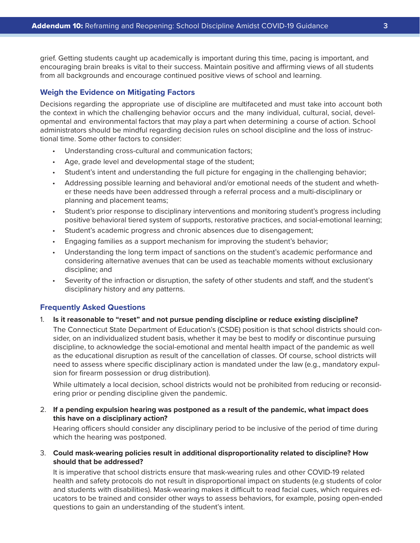grief. Getting students caught up academically is important during this time, pacing is important, and encouraging brain breaks is vital to their success. Maintain positive and affirming views of all students from all backgrounds and encourage continued positive views of school and learning.

## **Weigh the Evidence on Mitigating Factors**

Decisions regarding the appropriate use of discipline are multifaceted and must take into account both the context in which the challenging behavior occurs and the many individual, cultural, social, developmental and environmental factors that may play a part when determining a course of action. School administrators should be mindful regarding decision rules on school discipline and the loss of instructional time. Some other factors to consider:

- Understanding cross-cultural and communication factors;
- Age, grade level and developmental stage of the student;
- Student's intent and understanding the full picture for engaging in the challenging behavior;
- Addressing possible learning and behavioral and/or emotional needs of the student and whether these needs have been addressed through a referral process and a multi-disciplinary or planning and placement teams;
- Student's prior response to disciplinary interventions and monitoring student's progress including positive behavioral tiered system of supports, restorative practices, and social-emotional learning;
- Student's academic progress and chronic absences due to disengagement;
- Engaging families as a support mechanism for improving the student's behavior;
- Understanding the long term impact of sanctions on the student's academic performance and considering alternative avenues that can be used as teachable moments without exclusionary discipline; and
- Severity of the infraction or disruption, the safety of other students and staff, and the student's disciplinary history and any patterns.

#### **Frequently Asked Questions**

#### 1. **Is it reasonable to "reset" and not pursue pending discipline or reduce existing discipline?**

 The Connecticut State Department of Education's (CSDE) position is that school districts should consider, on an individualized student basis, whether it may be best to modify or discontinue pursuing discipline, to acknowledge the social-emotional and mental health impact of the pandemic as well as the educational disruption as result of the cancellation of classes. Of course, school districts will need to assess where specific disciplinary action is mandated under the law (e.g., mandatory expulsion for firearm possession or drug distribution).

 While ultimately a local decision, school districts would not be prohibited from reducing or reconsidering prior or pending discipline given the pandemic.

# 2. **If a pending expulsion hearing was postponed as a result of the pandemic, what impact does this have on a disciplinary action?**

 Hearing officers should consider any disciplinary period to be inclusive of the period of time during which the hearing was postponed.

3. **Could mask-wearing policies result in additional disproportionality related to discipline? How should that be addressed?**

 It is imperative that school districts ensure that mask-wearing rules and other COVID-19 related health and safety protocols do not result in disproportional impact on students (e.g students of color and students with disabilities). Mask-wearing makes it difficult to read facial cues, which requires educators to be trained and consider other ways to assess behaviors, for example, posing open-ended questions to gain an understanding of the student's intent.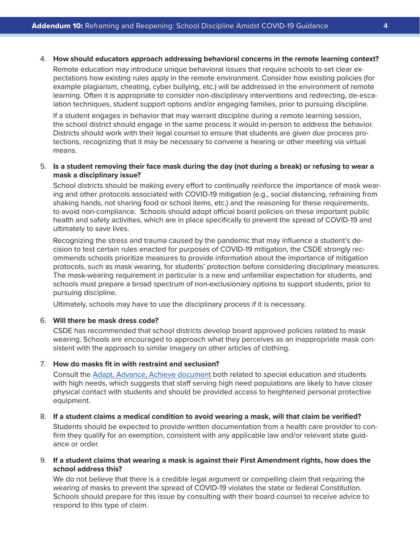#### 4. **How should educators approach addressing behavioral concerns in the remote learning context?**

 Remote education may introduce unique behavioral issues that require schools to set clear expectations how existing rules apply in the remote environment. Consider how existing policies (for example plagiarism, cheating, cyber bullying, etc.) will be addressed in the environment of remote learning. Often it is appropriate to consider non-disciplinary interventions and redirecting, de-escalation techniques, student support options and/or engaging families, prior to pursuing discipline.

 If a student engages in behavior that may warrant discipline during a remote learning session, the school district should engage in the same process it would in-person to address the behavior. Districts should work with their legal counsel to ensure that students are given due process protections, recognizing that it may be necessary to convene a hearing or other meeting via virtual means.

### 5. **Is a student removing their face mask during the day (not during a break) or refusing to wear a mask a disciplinary issue?**

 School districts should be making every effort to continually reinforce the importance of mask wearing and other protocols associated with COVID-19 mitigation (e.g., social distancing, refraining from shaking hands, not sharing food or school items, etc.) and the reasoning for these requirements, to avoid non-compliance. Schools should adopt official board policies on these important public health and safety activities, which are in place specifically to prevent the spread of COVID-19 and ultimately to save lives.

 Recognizing the stress and trauma caused by the pandemic that may influence a student's decision to test certain rules enacted for purposes of COVID-19 mitigation, the CSDE strongly recommends schools prioritize measures to provide information about the importance of mitigation protocols, such as mask wearing, for students' protection before considering disciplinary measures. The mask-wearing requirement in particular is a new and unfamiliar expectation for students, and schools must prepare a broad spectrum of non-exclusionary options to support students, prior to pursuing discipline.

Ultimately, schools may have to use the disciplinary process if it is necessary.

#### 6. **Will there be mask dress code?**

 CSDE has recommended that school districts develop board approved policies related to mask wearing. Schools are encouraged to approach what they perceives as an inappropriate mask consistent with the approach to similar imagery on other articles of clothing.

#### 7. **How do masks fit in with restraint and seclusion?**

 Consult the [Adapt, Advance, Achieve document](https://portal.ct.gov/-/media/SDE/COVID-19/CTReopeningSchools.pdf) both related to special education and students with high needs, which suggests that staff serving high need populations are likely to have closer physical contact with students and should be provided access to heightened personal protective equipment.

# 8. **If a student claims a medical condition to avoid wearing a mask, will that claim be verified?**

 Students should be expected to provide written documentation from a health care provider to confirm they qualify for an exemption, consistent with any applicable law and/or relevant state guidance or order.

# 9. **If a student claims that wearing a mask is against their First Amendment rights, how does the school address this?**

 We do not believe that there is a credible legal argument or compelling claim that requiring the wearing of masks to prevent the spread of COVID-19 violates the state or federal Constitution. Schools should prepare for this issue by consulting with their board counsel to receive advice to respond to this type of claim.